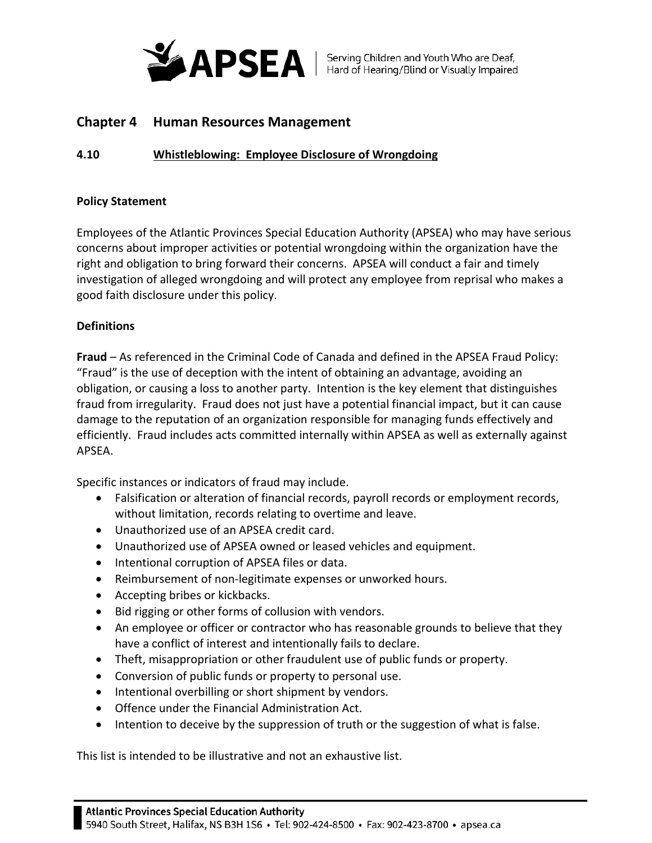

# **Chapter 4 Human Resources Management**

## **4.10 Whistleblowing: Employee Disclosure of Wrongdoing**

## **Policy Statement**

Employees of the Atlantic Provinces Special Education Authority (APSEA) who may have serious concerns about improper activities or potential wrongdoing within the organization have the right and obligation to bring forward their concerns. APSEA will conduct a fair and timely investigation of alleged wrongdoing and will protect any employee from reprisal who makes a good faith disclosure under this policy.

## **Definitions**

**Fraud** – As referenced in the Criminal Code of Canada and defined in the APSEA Fraud Policy: "Fraud" is the use of deception with the intent of obtaining an advantage, avoiding an obligation, or causing a loss to another party. Intention is the key element that distinguishes fraud from irregularity. Fraud does not just have a potential financial impact, but it can cause damage to the reputation of an organization responsible for managing funds effectively and efficiently. Fraud includes acts committed internally within APSEA as well as externally against APSEA.

Specific instances or indicators of fraud may include.

- Falsification or alteration of financial records, payroll records or employment records, without limitation, records relating to overtime and leave.
- Unauthorized use of an APSEA credit card.
- Unauthorized use of APSEA owned or leased vehicles and equipment.
- Intentional corruption of APSEA files or data.
- Reimbursement of non-legitimate expenses or unworked hours.
- Accepting bribes or kickbacks.
- Bid rigging or other forms of collusion with vendors.
- An employee or officer or contractor who has reasonable grounds to believe that they have a conflict of interest and intentionally fails to declare.
- Theft, misappropriation or other fraudulent use of public funds or property.
- Conversion of public funds or property to personal use.
- Intentional overbilling or short shipment by vendors.
- Offence under the Financial Administration Act.
- Intention to deceive by the suppression of truth or the suggestion of what is false.

This list is intended to be illustrative and not an exhaustive list.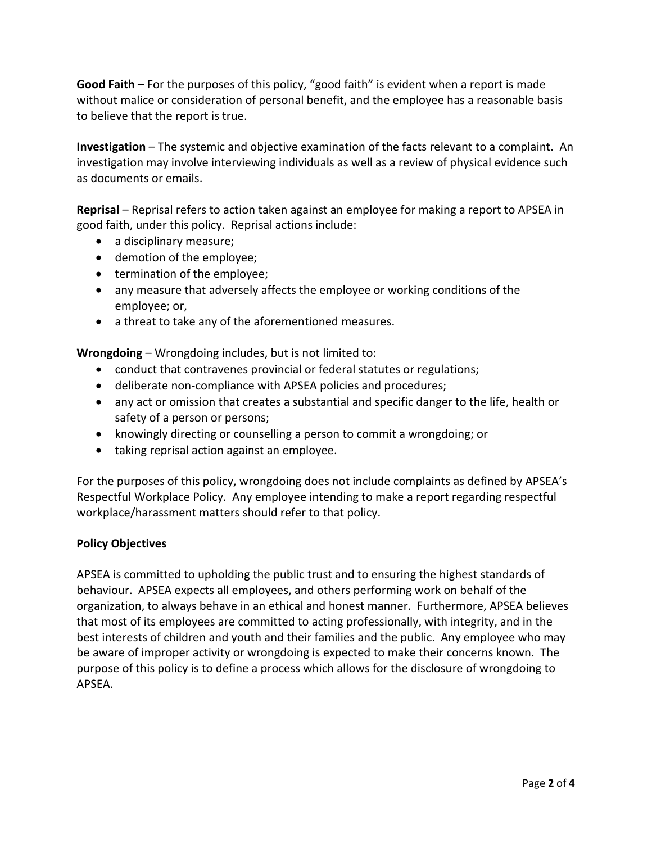**Good Faith** – For the purposes of this policy, "good faith" is evident when a report is made without malice or consideration of personal benefit, and the employee has a reasonable basis to believe that the report is true.

**Investigation** – The systemic and objective examination of the facts relevant to a complaint. An investigation may involve interviewing individuals as well as a review of physical evidence such as documents or emails.

**Reprisal** – Reprisal refers to action taken against an employee for making a report to APSEA in good faith, under this policy. Reprisal actions include:

- a disciplinary measure;
- demotion of the employee;
- termination of the employee;
- any measure that adversely affects the employee or working conditions of the employee; or,
- a threat to take any of the aforementioned measures.

**Wrongdoing** – Wrongdoing includes, but is not limited to:

- conduct that contravenes provincial or federal statutes or regulations;
- deliberate non-compliance with APSEA policies and procedures;
- any act or omission that creates a substantial and specific danger to the life, health or safety of a person or persons;
- knowingly directing or counselling a person to commit a wrongdoing; or
- taking reprisal action against an employee.

For the purposes of this policy, wrongdoing does not include complaints as defined by APSEA's Respectful Workplace Policy. Any employee intending to make a report regarding respectful workplace/harassment matters should refer to that policy.

## **Policy Objectives**

APSEA is committed to upholding the public trust and to ensuring the highest standards of behaviour. APSEA expects all employees, and others performing work on behalf of the organization, to always behave in an ethical and honest manner. Furthermore, APSEA believes that most of its employees are committed to acting professionally, with integrity, and in the best interests of children and youth and their families and the public. Any employee who may be aware of improper activity or wrongdoing is expected to make their concerns known. The purpose of this policy is to define a process which allows for the disclosure of wrongdoing to APSEA.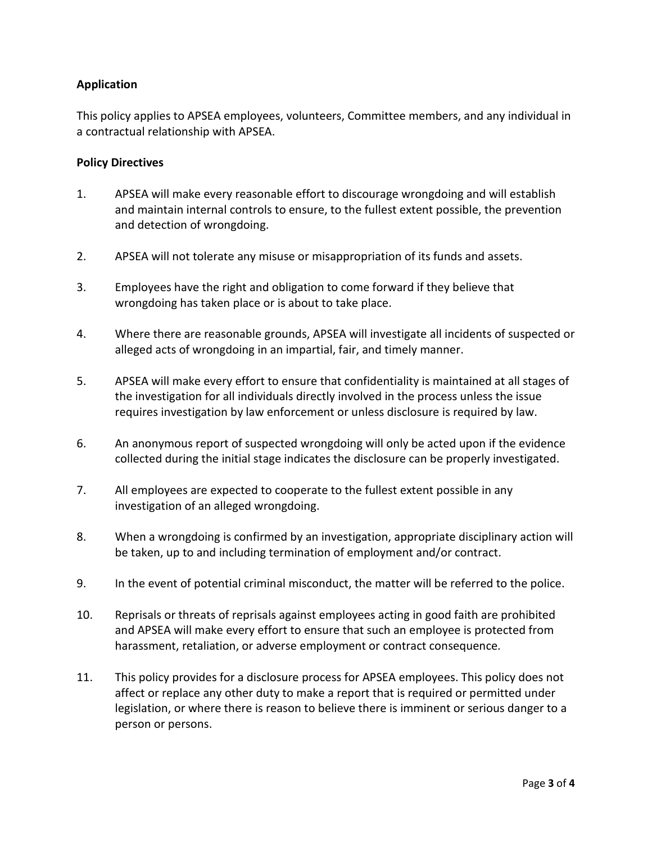# **Application**

This policy applies to APSEA employees, volunteers, Committee members, and any individual in a contractual relationship with APSEA.

#### **Policy Directives**

- 1. APSEA will make every reasonable effort to discourage wrongdoing and will establish and maintain internal controls to ensure, to the fullest extent possible, the prevention and detection of wrongdoing.
- 2. APSEA will not tolerate any misuse or misappropriation of its funds and assets.
- 3. Employees have the right and obligation to come forward if they believe that wrongdoing has taken place or is about to take place.
- 4. Where there are reasonable grounds, APSEA will investigate all incidents of suspected or alleged acts of wrongdoing in an impartial, fair, and timely manner.
- 5. APSEA will make every effort to ensure that confidentiality is maintained at all stages of the investigation for all individuals directly involved in the process unless the issue requires investigation by law enforcement or unless disclosure is required by law.
- 6. An anonymous report of suspected wrongdoing will only be acted upon if the evidence collected during the initial stage indicates the disclosure can be properly investigated.
- 7. All employees are expected to cooperate to the fullest extent possible in any investigation of an alleged wrongdoing.
- 8. When a wrongdoing is confirmed by an investigation, appropriate disciplinary action will be taken, up to and including termination of employment and/or contract.
- 9. In the event of potential criminal misconduct, the matter will be referred to the police.
- 10. Reprisals or threats of reprisals against employees acting in good faith are prohibited and APSEA will make every effort to ensure that such an employee is protected from harassment, retaliation, or adverse employment or contract consequence.
- 11. This policy provides for a disclosure process for APSEA employees. This policy does not affect or replace any other duty to make a report that is required or permitted under legislation, or where there is reason to believe there is imminent or serious danger to a person or persons.